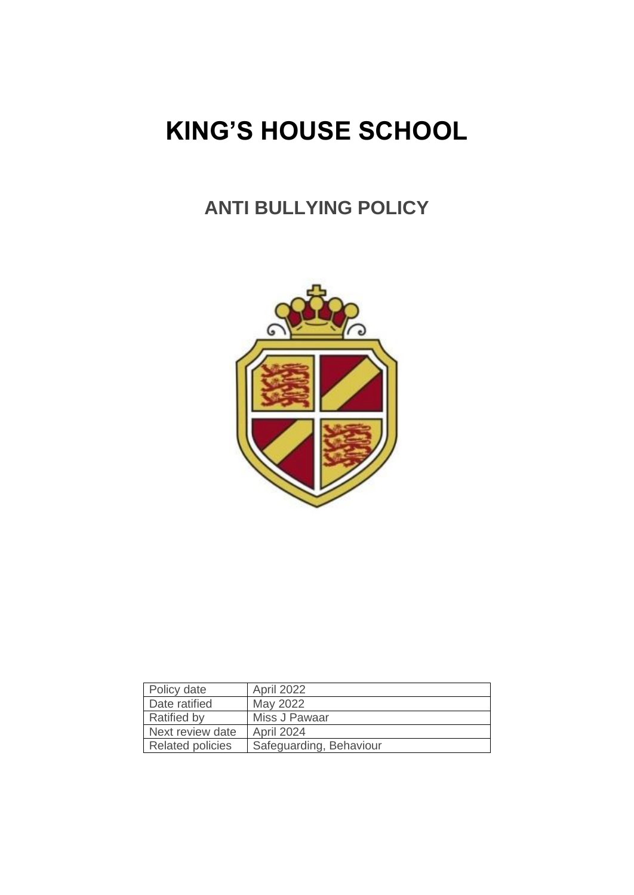# **KING'S HOUSE SCHOOL**

# **ANTI BULLYING POLICY**



| Policy date             | April 2022              |
|-------------------------|-------------------------|
|                         |                         |
| Date ratified           | May 2022                |
| <b>Ratified by</b>      | Miss J Pawaar           |
| Next review date        | April 2024              |
| <b>Related policies</b> | Safeguarding, Behaviour |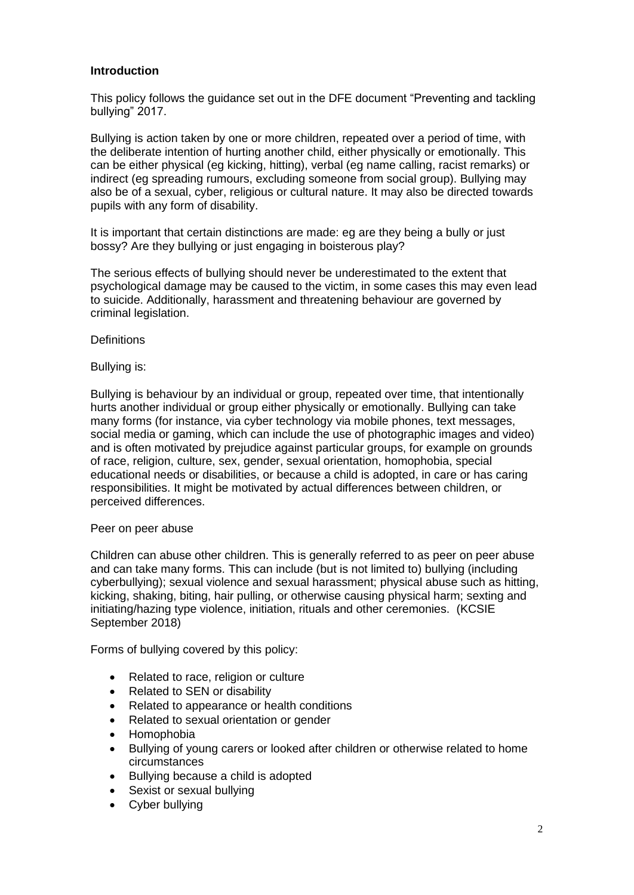# **Introduction**

This policy follows the guidance set out in the DFE document "Preventing and tackling bullying" 2017.

Bullying is action taken by one or more children, repeated over a period of time, with the deliberate intention of hurting another child, either physically or emotionally. This can be either physical (eg kicking, hitting), verbal (eg name calling, racist remarks) or indirect (eg spreading rumours, excluding someone from social group). Bullying may also be of a sexual, cyber, religious or cultural nature. It may also be directed towards pupils with any form of disability.

It is important that certain distinctions are made: eg are they being a bully or just bossy? Are they bullying or just engaging in boisterous play?

The serious effects of bullying should never be underestimated to the extent that psychological damage may be caused to the victim, in some cases this may even lead to suicide. Additionally, harassment and threatening behaviour are governed by criminal legislation.

#### **Definitions**

#### Bullying is:

Bullying is behaviour by an individual or group, repeated over time, that intentionally hurts another individual or group either physically or emotionally. Bullying can take many forms (for instance, via cyber technology via mobile phones, text messages, social media or gaming, which can include the use of photographic images and video) and is often motivated by prejudice against particular groups, for example on grounds of race, religion, culture, sex, gender, sexual orientation, homophobia, special educational needs or disabilities, or because a child is adopted, in care or has caring responsibilities. It might be motivated by actual differences between children, or perceived differences.

#### Peer on peer abuse

Children can abuse other children. This is generally referred to as peer on peer abuse and can take many forms. This can include (but is not limited to) bullying (including cyberbullying); sexual violence and sexual harassment; physical abuse such as hitting, kicking, shaking, biting, hair pulling, or otherwise causing physical harm; sexting and initiating/hazing type violence, initiation, rituals and other ceremonies. (KCSIE September 2018)

Forms of bullying covered by this policy:

- Related to race, religion or culture
- Related to SEN or disability
- Related to appearance or health conditions
- Related to sexual orientation or gender
- Homophobia
- Bullying of young carers or looked after children or otherwise related to home circumstances
- Bullying because a child is adopted
- Sexist or sexual bullying
- Cyber bullying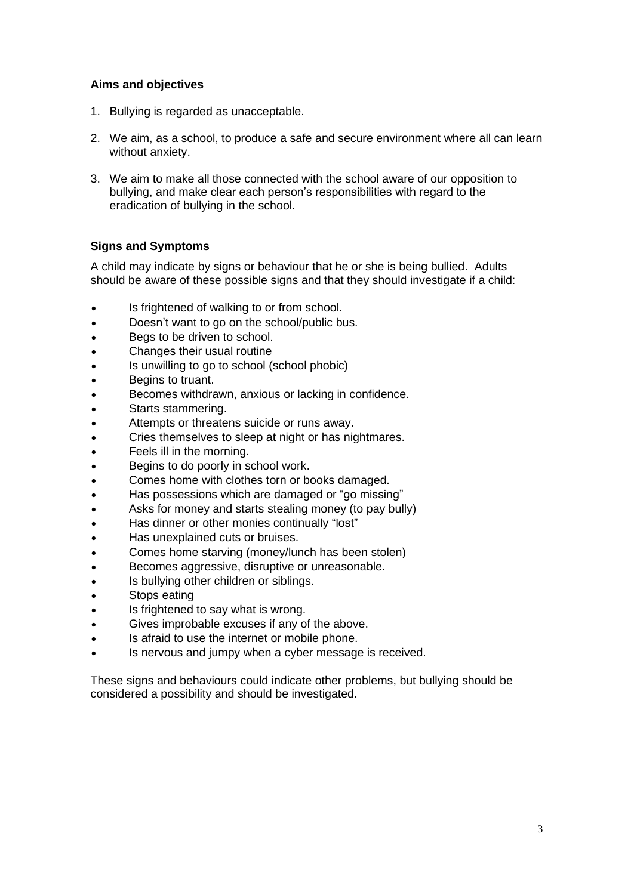# **Aims and objectives**

- 1. Bullying is regarded as unacceptable.
- 2. We aim, as a school, to produce a safe and secure environment where all can learn without anxiety.
- 3. We aim to make all those connected with the school aware of our opposition to bullying, and make clear each person's responsibilities with regard to the eradication of bullying in the school.

# **Signs and Symptoms**

A child may indicate by signs or behaviour that he or she is being bullied. Adults should be aware of these possible signs and that they should investigate if a child:

- Is frightened of walking to or from school.
- Doesn't want to go on the school/public bus.
- Begs to be driven to school.
- Changes their usual routine
- Is unwilling to go to school (school phobic)
- Begins to truant.
- Becomes withdrawn, anxious or lacking in confidence.
- Starts stammering.
- Attempts or threatens suicide or runs away.
- Cries themselves to sleep at night or has nightmares.
- Feels ill in the morning.
- Begins to do poorly in school work.
- Comes home with clothes torn or books damaged.
- Has possessions which are damaged or "go missing"
- Asks for money and starts stealing money (to pay bully)
- Has dinner or other monies continually "lost"
- Has unexplained cuts or bruises.
- Comes home starving (money/lunch has been stolen)
- Becomes aggressive, disruptive or unreasonable.
- Is bullying other children or siblings.
- Stops eating
- Is frightened to say what is wrong.
- Gives improbable excuses if any of the above.
- Is afraid to use the internet or mobile phone.
- Is nervous and jumpy when a cyber message is received.

These signs and behaviours could indicate other problems, but bullying should be considered a possibility and should be investigated.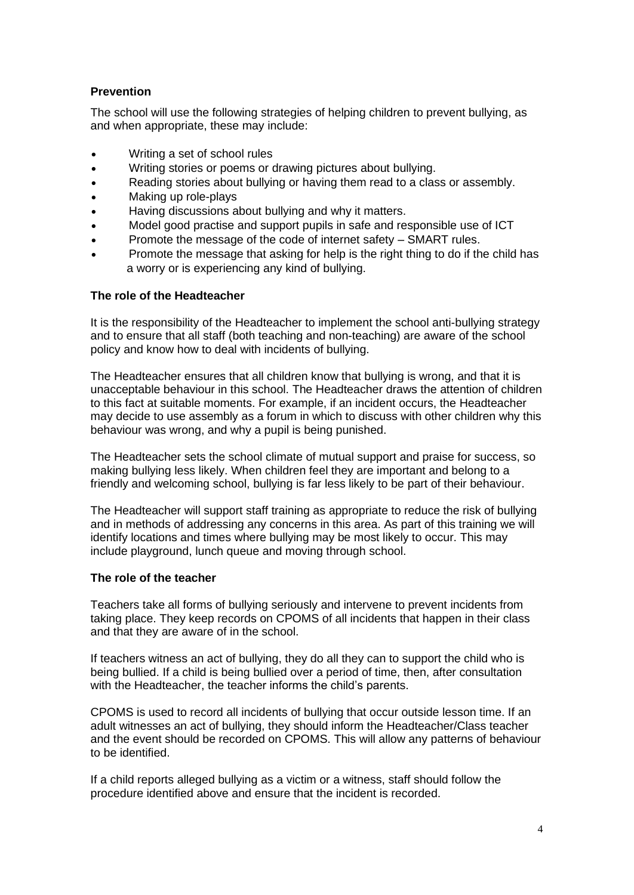# **Prevention**

The school will use the following strategies of helping children to prevent bullying, as and when appropriate, these may include:

- Writing a set of school rules
- Writing stories or poems or drawing pictures about bullying.
- Reading stories about bullying or having them read to a class or assembly.
- Making up role-plays
- Having discussions about bullying and why it matters.
- Model good practise and support pupils in safe and responsible use of ICT
- Promote the message of the code of internet safety SMART rules.
- Promote the message that asking for help is the right thing to do if the child has a worry or is experiencing any kind of bullying.

## **The role of the Headteacher**

It is the responsibility of the Headteacher to implement the school anti-bullying strategy and to ensure that all staff (both teaching and non-teaching) are aware of the school policy and know how to deal with incidents of bullying.

The Headteacher ensures that all children know that bullying is wrong, and that it is unacceptable behaviour in this school. The Headteacher draws the attention of children to this fact at suitable moments. For example, if an incident occurs, the Headteacher may decide to use assembly as a forum in which to discuss with other children why this behaviour was wrong, and why a pupil is being punished.

The Headteacher sets the school climate of mutual support and praise for success, so making bullying less likely. When children feel they are important and belong to a friendly and welcoming school, bullying is far less likely to be part of their behaviour.

The Headteacher will support staff training as appropriate to reduce the risk of bullying and in methods of addressing any concerns in this area. As part of this training we will identify locations and times where bullying may be most likely to occur. This may include playground, lunch queue and moving through school.

#### **The role of the teacher**

Teachers take all forms of bullying seriously and intervene to prevent incidents from taking place. They keep records on CPOMS of all incidents that happen in their class and that they are aware of in the school.

If teachers witness an act of bullying, they do all they can to support the child who is being bullied. If a child is being bullied over a period of time, then, after consultation with the Headteacher, the teacher informs the child's parents.

CPOMS is used to record all incidents of bullying that occur outside lesson time. If an adult witnesses an act of bullying, they should inform the Headteacher/Class teacher and the event should be recorded on CPOMS. This will allow any patterns of behaviour to be identified.

If a child reports alleged bullying as a victim or a witness, staff should follow the procedure identified above and ensure that the incident is recorded.